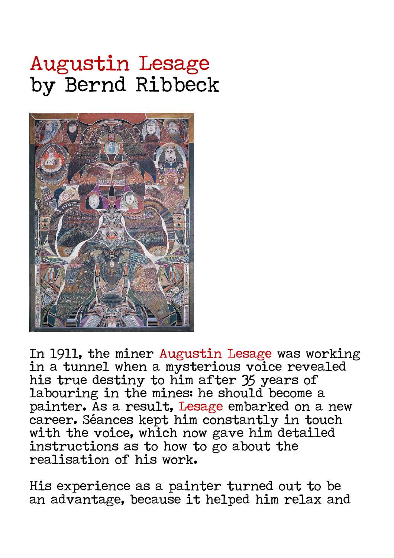## Augustin Lesage by Bernd Ribbeck



In 1911, the miner Augustin Lesage was working in a tunnel when a mysterious voice revealed his true destiny to him after 35 years of labouring in the mines: he should become a painter. As a result, Lesage embarked on a new career. Séances kept him constantly in touch with the voice, which now gave him detailed instructions as to how to go about the realisation of his work.

His experience as a painter turned out to be an advantage, because it helped him relax and